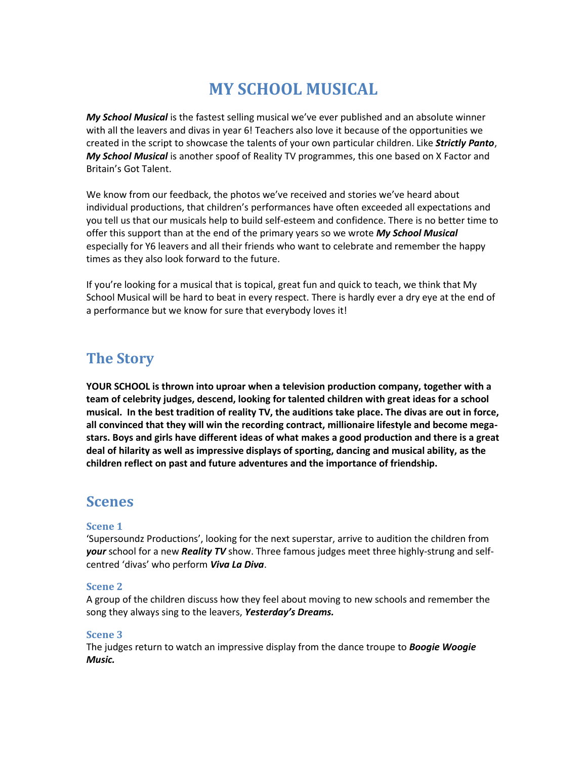# **MY SCHOOL MUSICAL**

*My School Musical* is the fastest selling musical we've ever published and an absolute winner with all the leavers and divas in year 6! Teachers also love it because of the opportunities we created in the script to showcase the talents of your own particular children. Like *Strictly Panto*, *My School Musical* is another spoof of Reality TV programmes, this one based on X Factor and Britain's Got Talent.

We know from our feedback, the photos we've received and stories we've heard about individual productions, that children's performances have often exceeded all expectations and you tell us that our musicals help to build self-esteem and confidence. There is no better time to offer this support than at the end of the primary years so we wrote *My School Musical* especially for Y6 leavers and all their friends who want to celebrate and remember the happy times as they also look forward to the future.

If you're looking for a musical that is topical, great fun and quick to teach, we think that My School Musical will be hard to beat in every respect. There is hardly ever a dry eye at the end of a performance but we know for sure that everybody loves it!

## **The Story**

**YOUR SCHOOL is thrown into uproar when a television production company, together with a team of celebrity judges, descend, looking for talented children with great ideas for a school musical. In the best tradition of reality TV, the auditions take place. The divas are out in force, all convinced that they will win the recording contract, millionaire lifestyle and become megastars. Boys and girls have different ideas of what makes a good production and there is a great deal of hilarity as well as impressive displays of sporting, dancing and musical ability, as the children reflect on past and future adventures and the importance of friendship.**

## **Scenes**

#### **Scene 1**

'Supersoundz Productions', looking for the next superstar, arrive to audition the children from *your* school for a new *Reality TV* show. Three famous judges meet three highly-strung and selfcentred 'divas' who perform *Viva La Diva*.

#### **Scene 2**

A group of the children discuss how they feel about moving to new schools and remember the song they always sing to the leavers, *Yesterday's Dreams.*

#### **Scene 3**

The judges return to watch an impressive display from the dance troupe to *Boogie Woogie Music.*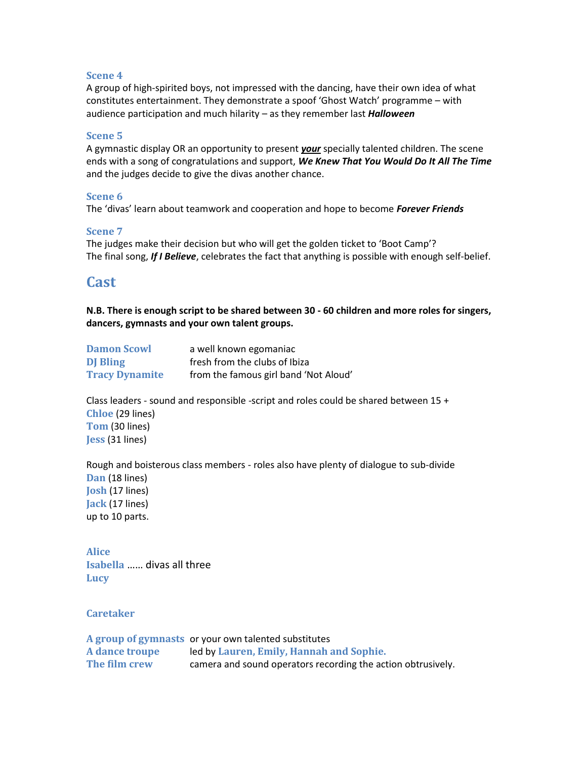#### **Scene 4**

A group of high-spirited boys, not impressed with the dancing, have their own idea of what constitutes entertainment. They demonstrate a spoof 'Ghost Watch' programme – with audience participation and much hilarity – as they remember last *Halloween*

#### **Scene 5**

A gymnastic display OR an opportunity to present *your* specially talented children. The scene ends with a song of congratulations and support, *We Knew That You Would Do It All The Time* and the judges decide to give the divas another chance.

#### **Scene 6**

The 'divas' learn about teamwork and cooperation and hope to become *Forever Friends*

#### **Scene 7**

The judges make their decision but who will get the golden ticket to 'Boot Camp'? The final song, *If I Believe*, celebrates the fact that anything is possible with enough self-belief.

## **Cast**

**N.B. There is enough script to be shared between 30 - 60 children and more roles for singers, dancers, gymnasts and your own talent groups.**

| <b>Damon Scowl</b>    | a well known egomaniac                |
|-----------------------|---------------------------------------|
| <b>DJ</b> Bling       | fresh from the clubs of Ibiza         |
| <b>Tracy Dynamite</b> | from the famous girl band 'Not Aloud' |

Class leaders - sound and responsible -script and roles could be shared between  $15 +$ **Chloe** (29 lines) **Tom** (30 lines) **Jess** (31 lines)

Rough and boisterous class members - roles also have plenty of dialogue to sub-divide

**Dan** (18 lines) **Josh** (17 lines) **Jack** (17 lines) up to 10 parts.

**Alice Isabella** …… divas all three **Lucy**

**Caretaker**

**A group of gymnasts** or your own talented substitutes **A dance troupe** led by **Lauren, Emily, Hannah and Sophie. The film crew** camera and sound operators recording the action obtrusively.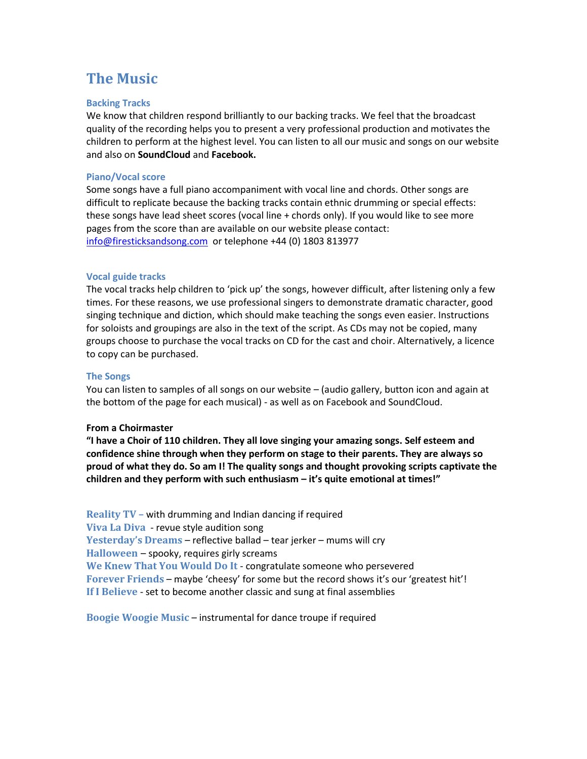# **The Music**

#### **Backing Tracks**

We know that children respond brilliantly to our backing tracks. We feel that the broadcast quality of the recording helps you to present a very professional production and motivates the children to perform at the highest level. You can listen to all our music and songs on our website and also on **SoundCloud** and **Facebook.** 

#### **Piano/Vocal score**

Some songs have a full piano accompaniment with vocal line and chords. Other songs are difficult to replicate because the backing tracks contain ethnic drumming or special effects: these songs have lead sheet scores (vocal line + chords only). If you would like to see more pages from the score than are available on our website please contact: [info@firesticksandsong.com](mailto:info@firesticksandsong.com) or telephone +44 (0) 1803 813977

#### **Vocal guide tracks**

The vocal tracks help children to 'pick up' the songs, however difficult, after listening only a few times. For these reasons, we use professional singers to demonstrate dramatic character, good singing technique and diction, which should make teaching the songs even easier. Instructions for soloists and groupings are also in the text of the script. As CDs may not be copied, many groups choose to purchase the vocal tracks on CD for the cast and choir. Alternatively, a licence to copy can be purchased.

#### **The Songs**

You can listen to samples of all songs on our website – (audio gallery, button icon and again at the bottom of the page for each musical) - as well as on Facebook and SoundCloud.

#### **From a Choirmaster**

**"I have a Choir of 110 children. They all love singing your amazing songs. Self esteem and confidence shine through when they perform on stage to their parents. They are always so proud of what they do. So am I! The quality songs and thought provoking scripts captivate the children and they perform with such enthusiasm – it's quite emotional at times!"** 

**Reality TV –** with drumming and Indian dancing if required **Viva La Diva** - revue style audition song **Yesterday's Dreams** – reflective ballad – tear jerker – mums will cry **Halloween** – spooky, requires girly screams **We Knew That You Would Do It** - congratulate someone who persevered **Forever Friends** – maybe 'cheesy' for some but the record shows it's our 'greatest hit'! **If I Believe** - set to become another classic and sung at final assemblies

**Boogie Woogie Music** – instrumental for dance troupe if required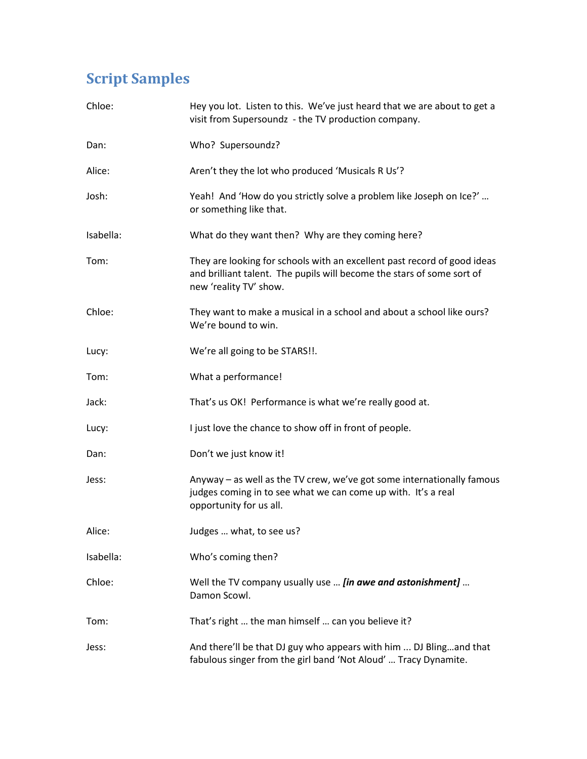# **Script Samples**

| Chloe:    | Hey you lot. Listen to this. We've just heard that we are about to get a<br>visit from Supersoundz - the TV production company.                                              |
|-----------|------------------------------------------------------------------------------------------------------------------------------------------------------------------------------|
| Dan:      | Who? Supersoundz?                                                                                                                                                            |
| Alice:    | Aren't they the lot who produced 'Musicals R Us'?                                                                                                                            |
| Josh:     | Yeah! And 'How do you strictly solve a problem like Joseph on Ice?'<br>or something like that.                                                                               |
| Isabella: | What do they want then? Why are they coming here?                                                                                                                            |
| Tom:      | They are looking for schools with an excellent past record of good ideas<br>and brilliant talent. The pupils will become the stars of some sort of<br>new 'reality TV' show. |
| Chloe:    | They want to make a musical in a school and about a school like ours?<br>We're bound to win.                                                                                 |
| Lucy:     | We're all going to be STARS!!.                                                                                                                                               |
| Tom:      | What a performance!                                                                                                                                                          |
| Jack:     | That's us OK! Performance is what we're really good at.                                                                                                                      |
| Lucy:     | I just love the chance to show off in front of people.                                                                                                                       |
| Dan:      | Don't we just know it!                                                                                                                                                       |
| Jess:     | Anyway – as well as the TV crew, we've got some internationally famous<br>judges coming in to see what we can come up with. It's a real<br>opportunity for us all.           |
| Alice:    | Judges  what, to see us?                                                                                                                                                     |
| Isabella: | Who's coming then?                                                                                                                                                           |
| Chloe:    | Well the TV company usually use <i>[in awe and astonishment]</i><br>Damon Scowl.                                                                                             |
| Tom:      | That's right  the man himself  can you believe it?                                                                                                                           |
| Jess:     | And there'll be that DJ guy who appears with him  DJ Blingand that<br>fabulous singer from the girl band 'Not Aloud'  Tracy Dynamite.                                        |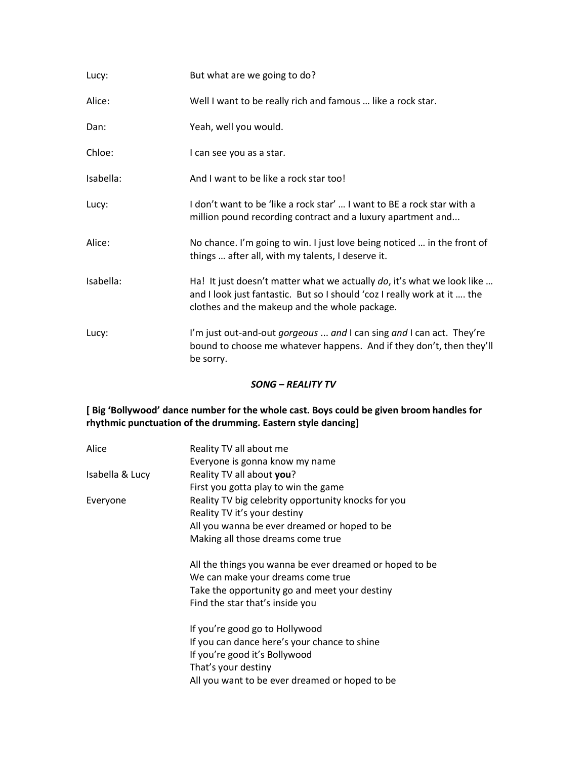| Lucy:     | But what are we going to do?                                                                                                                                                                        |
|-----------|-----------------------------------------------------------------------------------------------------------------------------------------------------------------------------------------------------|
| Alice:    | Well I want to be really rich and famous  like a rock star.                                                                                                                                         |
| Dan:      | Yeah, well you would.                                                                                                                                                                               |
| Chloe:    | I can see you as a star.                                                                                                                                                                            |
| Isabella: | And I want to be like a rock star too!                                                                                                                                                              |
| Lucy:     | I don't want to be 'like a rock star'  I want to BE a rock star with a<br>million pound recording contract and a luxury apartment and                                                               |
| Alice:    | No chance. I'm going to win. I just love being noticed  in the front of<br>things  after all, with my talents, I deserve it.                                                                        |
| Isabella: | Ha! It just doesn't matter what we actually do, it's what we look like<br>and I look just fantastic. But so I should 'coz I really work at it  the<br>clothes and the makeup and the whole package. |
| Lucy:     | I'm just out-and-out <i>gorgeous  and</i> I can sing and I can act. They're<br>bound to choose me whatever happens. And if they don't, then they'll<br>be sorry.                                    |

#### *SONG – REALITY TV*

## **[ Big 'Bollywood' dance number for the whole cast. Boys could be given broom handles for rhythmic punctuation of the drumming. Eastern style dancing]**

| Alice           | Reality TV all about me                                 |
|-----------------|---------------------------------------------------------|
|                 | Everyone is gonna know my name                          |
| Isabella & Lucy | Reality TV all about you?                               |
|                 | First you gotta play to win the game                    |
| Everyone        | Reality TV big celebrity opportunity knocks for you     |
|                 | Reality TV it's your destiny                            |
|                 | All you wanna be ever dreamed or hoped to be            |
|                 | Making all those dreams come true                       |
|                 | All the things you wanna be ever dreamed or hoped to be |
|                 | We can make your dreams come true                       |
|                 | Take the opportunity go and meet your destiny           |
|                 | Find the star that's inside you                         |
|                 | If you're good go to Hollywood                          |
|                 | If you can dance here's your chance to shine            |
|                 | If you're good it's Bollywood                           |
|                 | That's your destiny                                     |
|                 | All you want to be ever dreamed or hoped to be          |
|                 |                                                         |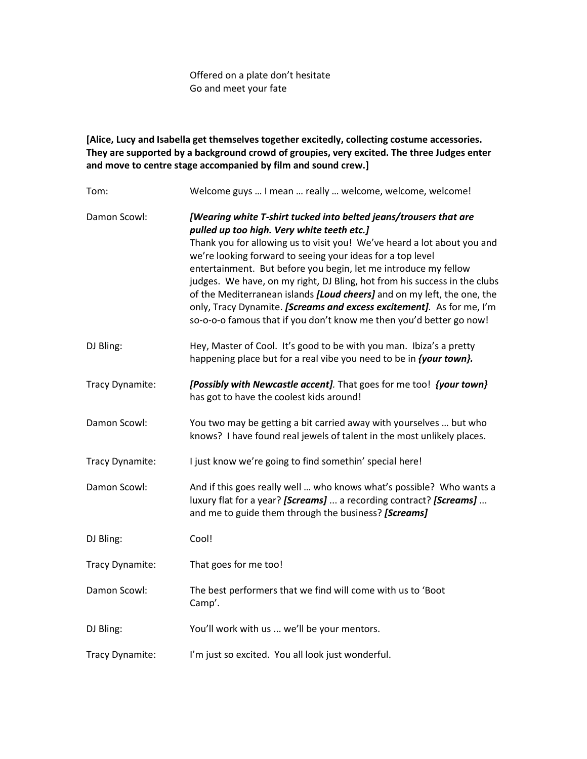Offered on a plate don't hesitate Go and meet your fate

**[Alice, Lucy and Isabella get themselves together excitedly, collecting costume accessories. They are supported by a background crowd of groupies, very excited. The three Judges enter and move to centre stage accompanied by film and sound crew.]**

| Tom:            | Welcome guys  I mean  really  welcome, welcome, welcome!                                                                                                                                                                                                                                                                                                                                                                                                                                                                                                                                                                            |
|-----------------|-------------------------------------------------------------------------------------------------------------------------------------------------------------------------------------------------------------------------------------------------------------------------------------------------------------------------------------------------------------------------------------------------------------------------------------------------------------------------------------------------------------------------------------------------------------------------------------------------------------------------------------|
| Damon Scowl:    | [Wearing white T-shirt tucked into belted jeans/trousers that are<br>pulled up too high. Very white teeth etc.]<br>Thank you for allowing us to visit you! We've heard a lot about you and<br>we're looking forward to seeing your ideas for a top level<br>entertainment. But before you begin, let me introduce my fellow<br>judges. We have, on my right, DJ Bling, hot from his success in the clubs<br>of the Mediterranean islands [Loud cheers] and on my left, the one, the<br>only, Tracy Dynamite. [Screams and excess excitement]. As for me, I'm<br>so-o-o-o famous that if you don't know me then you'd better go now! |
| DJ Bling:       | Hey, Master of Cool. It's good to be with you man. Ibiza's a pretty<br>happening place but for a real vibe you need to be in <i>{your town}</i> .                                                                                                                                                                                                                                                                                                                                                                                                                                                                                   |
| Tracy Dynamite: | [Possibly with Newcastle accent]. That goes for me too! {your town}<br>has got to have the coolest kids around!                                                                                                                                                                                                                                                                                                                                                                                                                                                                                                                     |
| Damon Scowl:    | You two may be getting a bit carried away with yourselves  but who<br>knows? I have found real jewels of talent in the most unlikely places.                                                                                                                                                                                                                                                                                                                                                                                                                                                                                        |
| Tracy Dynamite: | I just know we're going to find somethin' special here!                                                                                                                                                                                                                                                                                                                                                                                                                                                                                                                                                                             |
| Damon Scowl:    | And if this goes really well  who knows what's possible? Who wants a<br>luxury flat for a year? [Screams]  a recording contract? [Screams]<br>and me to guide them through the business? [Screams]                                                                                                                                                                                                                                                                                                                                                                                                                                  |
| DJ Bling:       | Cool!                                                                                                                                                                                                                                                                                                                                                                                                                                                                                                                                                                                                                               |
| Tracy Dynamite: | That goes for me too!                                                                                                                                                                                                                                                                                                                                                                                                                                                                                                                                                                                                               |
| Damon Scowl:    | The best performers that we find will come with us to 'Boot<br>Camp'.                                                                                                                                                                                                                                                                                                                                                                                                                                                                                                                                                               |
| DJ Bling:       | You'll work with us  we'll be your mentors.                                                                                                                                                                                                                                                                                                                                                                                                                                                                                                                                                                                         |
| Tracy Dynamite: | I'm just so excited. You all look just wonderful.                                                                                                                                                                                                                                                                                                                                                                                                                                                                                                                                                                                   |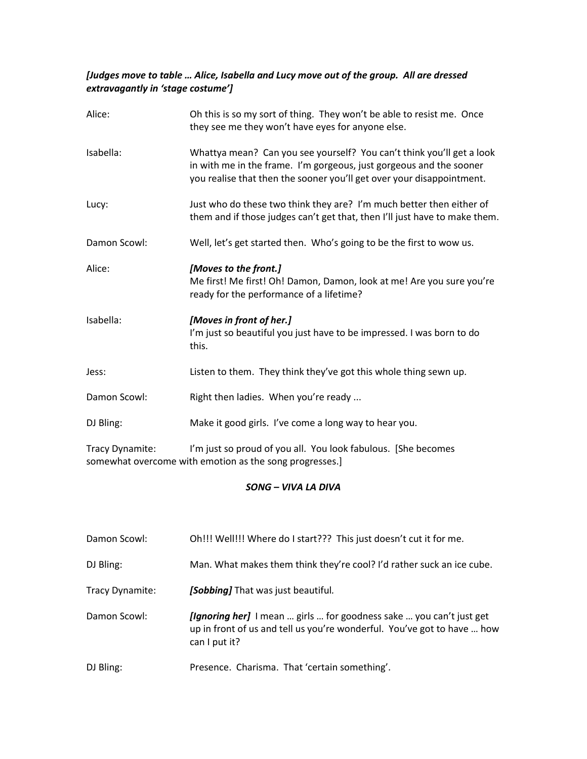## *[Judges move to table … Alice, Isabella and Lucy move out of the group. All are dressed extravagantly in 'stage costume']*

| Alice:       | Oh this is so my sort of thing. They won't be able to resist me. Once<br>they see me they won't have eyes for anyone else.                                                                                            |
|--------------|-----------------------------------------------------------------------------------------------------------------------------------------------------------------------------------------------------------------------|
| Isabella:    | Whattya mean? Can you see yourself? You can't think you'll get a look<br>in with me in the frame. I'm gorgeous, just gorgeous and the sooner<br>you realise that then the sooner you'll get over your disappointment. |
| Lucy:        | Just who do these two think they are? I'm much better then either of<br>them and if those judges can't get that, then I'll just have to make them.                                                                    |
| Damon Scowl: | Well, let's get started then. Who's going to be the first to wow us.                                                                                                                                                  |
| Alice:       | [Moves to the front.]<br>Me first! Me first! Oh! Damon, Damon, look at me! Are you sure you're<br>ready for the performance of a lifetime?                                                                            |
| Isabella:    | [Moves in front of her.]<br>I'm just so beautiful you just have to be impressed. I was born to do<br>this.                                                                                                            |
| Jess:        | Listen to them. They think they've got this whole thing sewn up.                                                                                                                                                      |
| Damon Scowl: | Right then ladies. When you're ready                                                                                                                                                                                  |
| DJ Bling:    | Make it good girls. I've come a long way to hear you.                                                                                                                                                                 |

Tracy Dynamite: I'm just so proud of you all. You look fabulous. [She becomes somewhat overcome with emotion as the song progresses.]

### *SONG – VIVA LA DIVA*

| Damon Scowl:    | Oh!!! Well!!! Where do I start??? This just doesn't cut it for me.                                                                                                     |
|-----------------|------------------------------------------------------------------------------------------------------------------------------------------------------------------------|
| DJ Bling:       | Man. What makes them think they're cool? I'd rather suck an ice cube.                                                                                                  |
| Tracy Dynamite: | [Sobbing] That was just beautiful.                                                                                                                                     |
| Damon Scowl:    | <b>[Ignoring her]</b> I mean  girls  for goodness sake  you can't just get<br>up in front of us and tell us you're wonderful. You've got to have  how<br>can I put it? |
| DJ Bling:       | Presence. Charisma. That 'certain something'.                                                                                                                          |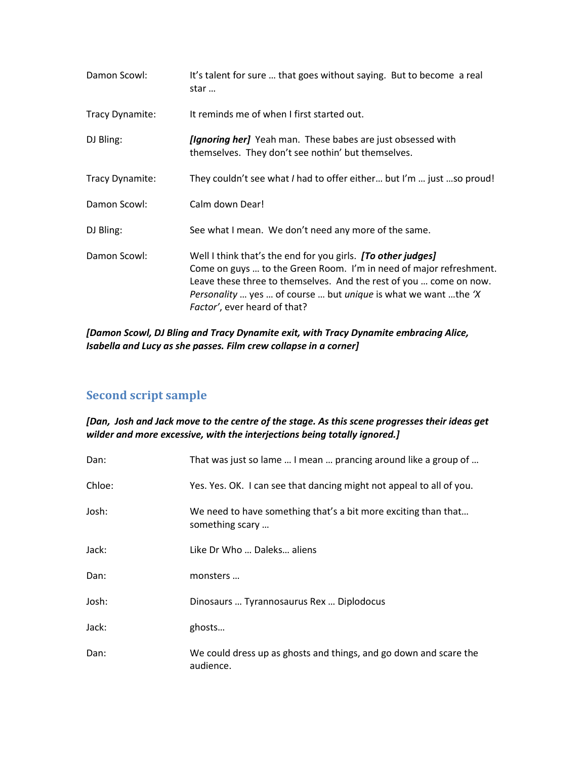| Damon Scowl:    | It's talent for sure  that goes without saying. But to become a real<br>star                                                                                                                                                                                                                                             |
|-----------------|--------------------------------------------------------------------------------------------------------------------------------------------------------------------------------------------------------------------------------------------------------------------------------------------------------------------------|
| Tracy Dynamite: | It reminds me of when I first started out.                                                                                                                                                                                                                                                                               |
| DJ Bling:       | <i>[Ignoring her]</i> Yeah man. These babes are just obsessed with<br>themselves. They don't see nothin' but themselves.                                                                                                                                                                                                 |
| Tracy Dynamite: | They couldn't see what I had to offer either but I'm  just so proud!                                                                                                                                                                                                                                                     |
| Damon Scowl:    | Calm down Dear!                                                                                                                                                                                                                                                                                                          |
| DJ Bling:       | See what I mean. We don't need any more of the same.                                                                                                                                                                                                                                                                     |
| Damon Scowl:    | Well I think that's the end for you girls. [To other judges]<br>Come on guys  to the Green Room. I'm in need of major refreshment.<br>Leave these three to themselves. And the rest of you  come on now.<br><i>Personality</i> yes  of course  but <i>unique</i> is what we want the 'X'<br>Factor', ever heard of that? |

*[Damon Scowl, DJ Bling and Tracy Dynamite exit, with Tracy Dynamite embracing Alice, Isabella and Lucy as she passes. Film crew collapse in a corner]*

## **Second script sample**

*[Dan, Josh and Jack move to the centre of the stage. As this scene progresses their ideas get wilder and more excessive, with the interjections being totally ignored.]*

| Dan:   | That was just so lame  I mean  prancing around like a group of                    |
|--------|-----------------------------------------------------------------------------------|
| Chloe: | Yes. Yes. OK. I can see that dancing might not appeal to all of you.              |
| Josh:  | We need to have something that's a bit more exciting than that<br>something scary |
| Jack:  | Like Dr Who  Daleks aliens                                                        |
| Dan:   | monsters                                                                          |
| Josh:  | Dinosaurs  Tyrannosaurus Rex  Diplodocus                                          |
| Jack:  | ghosts                                                                            |
| Dan:   | We could dress up as ghosts and things, and go down and scare the<br>audience.    |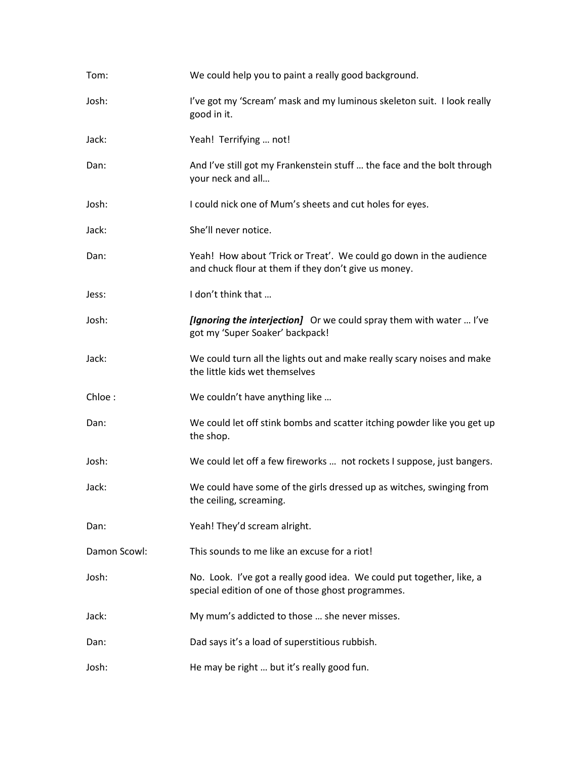| Tom:         | We could help you to paint a really good background.                                                                       |
|--------------|----------------------------------------------------------------------------------------------------------------------------|
| Josh:        | I've got my 'Scream' mask and my luminous skeleton suit. I look really<br>good in it.                                      |
| Jack:        | Yeah! Terrifying  not!                                                                                                     |
| Dan:         | And I've still got my Frankenstein stuff  the face and the bolt through<br>your neck and all                               |
| Josh:        | I could nick one of Mum's sheets and cut holes for eyes.                                                                   |
| Jack:        | She'll never notice.                                                                                                       |
| Dan:         | Yeah! How about 'Trick or Treat'. We could go down in the audience<br>and chuck flour at them if they don't give us money. |
| Jess:        | I don't think that                                                                                                         |
| Josh:        | [Ignoring the interjection] Or we could spray them with water  I've<br>got my 'Super Soaker' backpack!                     |
| Jack:        | We could turn all the lights out and make really scary noises and make<br>the little kids wet themselves                   |
| Chloe:       | We couldn't have anything like                                                                                             |
| Dan:         | We could let off stink bombs and scatter itching powder like you get up<br>the shop.                                       |
| Josh:        | We could let off a few fireworks  not rockets I suppose, just bangers.                                                     |
| Jack:        | We could have some of the girls dressed up as witches, swinging from<br>the ceiling, screaming.                            |
| Dan:         | Yeah! They'd scream alright.                                                                                               |
| Damon Scowl: | This sounds to me like an excuse for a riot!                                                                               |
| Josh:        | No. Look. I've got a really good idea. We could put together, like, a<br>special edition of one of those ghost programmes. |
| Jack:        | My mum's addicted to those  she never misses.                                                                              |
| Dan:         | Dad says it's a load of superstitious rubbish.                                                                             |
| Josh:        | He may be right  but it's really good fun.                                                                                 |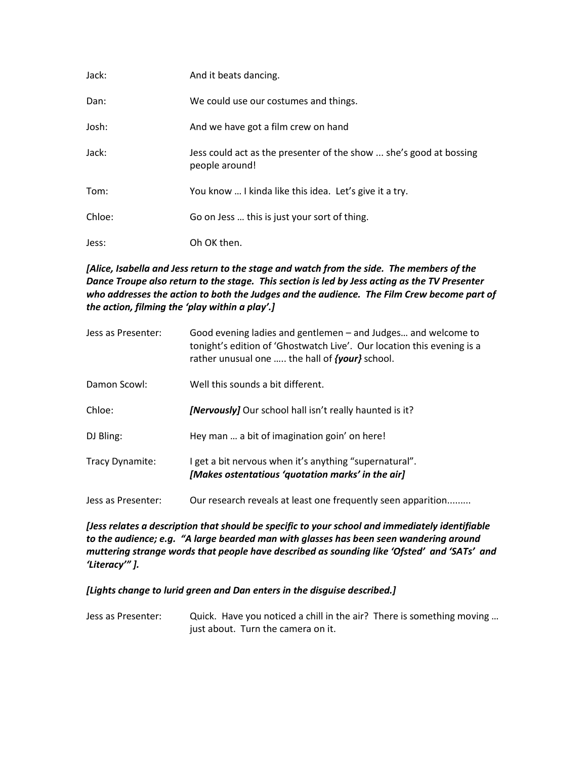| Jack:  | And it beats dancing.                                                                |
|--------|--------------------------------------------------------------------------------------|
| Dan:   | We could use our costumes and things.                                                |
| Josh:  | And we have got a film crew on hand                                                  |
| Jack:  | Jess could act as the presenter of the show  she's good at bossing<br>people around! |
| Tom:   | You know  I kinda like this idea. Let's give it a try.                               |
| Chloe: | Go on Jess  this is just your sort of thing.                                         |
| Jess:  | Oh OK then.                                                                          |

*[Alice, Isabella and Jess return to the stage and watch from the side. The members of the Dance Troupe also return to the stage. This section is led by Jess acting as the TV Presenter who addresses the action to both the Judges and the audience. The Film Crew become part of the action, filming the 'play within a play'.]*

| Jess as Presenter: | Good evening ladies and gentlemen – and Judges and welcome to<br>tonight's edition of 'Ghostwatch Live'. Our location this evening is a<br>rather unusual one  the hall of <i>{your}</i> school. |
|--------------------|--------------------------------------------------------------------------------------------------------------------------------------------------------------------------------------------------|
| Damon Scowl:       | Well this sounds a bit different.                                                                                                                                                                |
| Chloe:             | <b>[Nervously]</b> Our school hall isn't really haunted is it?                                                                                                                                   |
| DJ Bling:          | Hey man  a bit of imagination goin' on here!                                                                                                                                                     |
| Tracy Dynamite:    | I get a bit nervous when it's anything "supernatural".<br>[Makes ostentatious 'quotation marks' in the air]                                                                                      |
| Jess as Presenter: | Our research reveals at least one frequently seen apparition                                                                                                                                     |

*[Jess relates a description that should be specific to your school and immediately identifiable to the audience; e.g. "A large bearded man with glasses has been seen wandering around muttering strange words that people have described as sounding like 'Ofsted' and 'SATs' and 'Literacy'" ].*

*[Lights change to lurid green and Dan enters in the disguise described.]*

Jess as Presenter: Quick. Have you noticed a chill in the air? There is something moving ... just about. Turn the camera on it.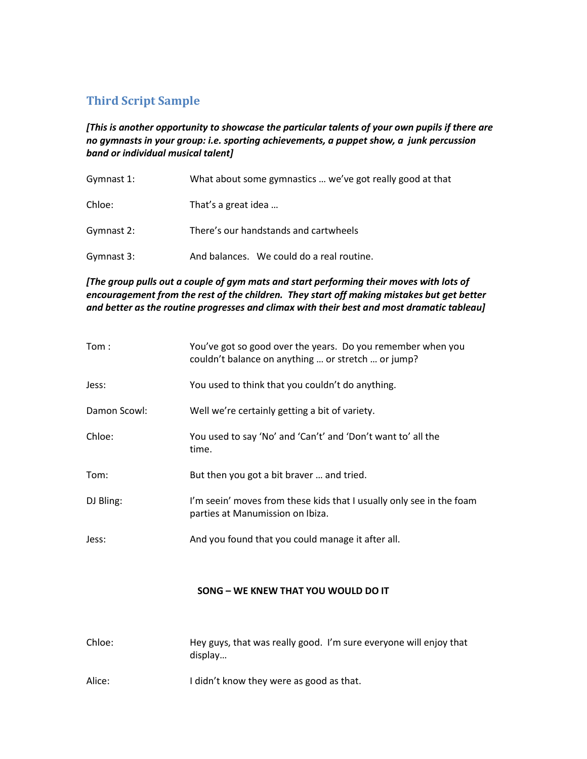## **Third Script Sample**

*[This is another opportunity to showcase the particular talents of your own pupils if there are no gymnasts in your group: i.e. sporting achievements, a puppet show, a junk percussion band or individual musical talent]* 

| Gymnast 1: | What about some gymnastics  we've got really good at that |
|------------|-----------------------------------------------------------|
| Chloe:     | That's a great idea                                       |
| Gymnast 2: | There's our handstands and cartwheels                     |
| Gymnast 3: | And balances. We could do a real routine.                 |

*[The group pulls out a couple of gym mats and start performing their moves with lots of encouragement from the rest of the children. They start off making mistakes but get better and better as the routine progresses and climax with their best and most dramatic tableau]*

| Tom:         | You've got so good over the years. Do you remember when you<br>couldn't balance on anything  or stretch  or jump? |
|--------------|-------------------------------------------------------------------------------------------------------------------|
| Jess:        | You used to think that you couldn't do anything.                                                                  |
| Damon Scowl: | Well we're certainly getting a bit of variety.                                                                    |
| Chloe:       | You used to say 'No' and 'Can't' and 'Don't want to' all the<br>time.                                             |
| Tom:         | But then you got a bit braver  and tried.                                                                         |
| DJ Bling:    | I'm seein' moves from these kids that I usually only see in the foam<br>parties at Manumission on Ibiza.          |
| Jess:        | And you found that you could manage it after all.                                                                 |

### **SONG – WE KNEW THAT YOU WOULD DO IT**

| Chloe: | Hey guys, that was really good. I'm sure everyone will enjoy that<br>display |
|--------|------------------------------------------------------------------------------|
| Alice: | I didn't know they were as good as that.                                     |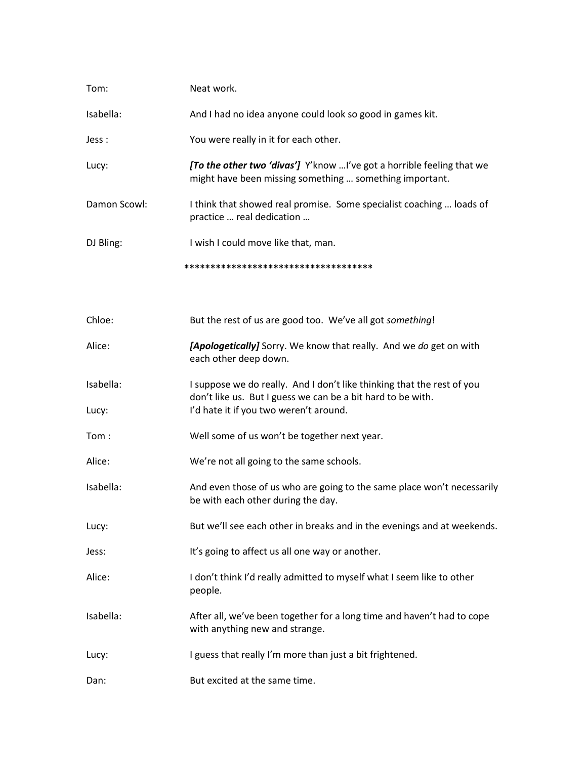| Tom:               | Neat work.                                                                                                                                                                      |
|--------------------|---------------------------------------------------------------------------------------------------------------------------------------------------------------------------------|
| Isabella:          | And I had no idea anyone could look so good in games kit.                                                                                                                       |
| Jess :             | You were really in it for each other.                                                                                                                                           |
| Lucy:              | [To the other two 'divas'] Y'know I've got a horrible feeling that we<br>might have been missing something  something important.                                                |
| Damon Scowl:       | I think that showed real promise. Some specialist coaching  loads of<br>practice  real dedication                                                                               |
| DJ Bling:          | I wish I could move like that, man.                                                                                                                                             |
|                    | **************************************                                                                                                                                          |
| Chloe:             |                                                                                                                                                                                 |
|                    | But the rest of us are good too. We've all got something!                                                                                                                       |
| Alice:             | [Apologetically] Sorry. We know that really. And we do get on with<br>each other deep down.                                                                                     |
| Isabella:<br>Lucy: | I suppose we do really. And I don't like thinking that the rest of you<br>don't like us. But I guess we can be a bit hard to be with.<br>I'd hate it if you two weren't around. |
|                    |                                                                                                                                                                                 |
| Tom:               | Well some of us won't be together next year.                                                                                                                                    |
| Alice:             | We're not all going to the same schools.                                                                                                                                        |
| Isabella:          | And even those of us who are going to the same place won't necessarily<br>be with each other during the day.                                                                    |
| Lucy:              | But we'll see each other in breaks and in the evenings and at weekends.                                                                                                         |
| Jess:              | It's going to affect us all one way or another.                                                                                                                                 |
| Alice:             | I don't think I'd really admitted to myself what I seem like to other<br>people.                                                                                                |
| Isabella:          | After all, we've been together for a long time and haven't had to cope<br>with anything new and strange.                                                                        |
| Lucy:              | I guess that really I'm more than just a bit frightened.                                                                                                                        |
| Dan:               | But excited at the same time.                                                                                                                                                   |